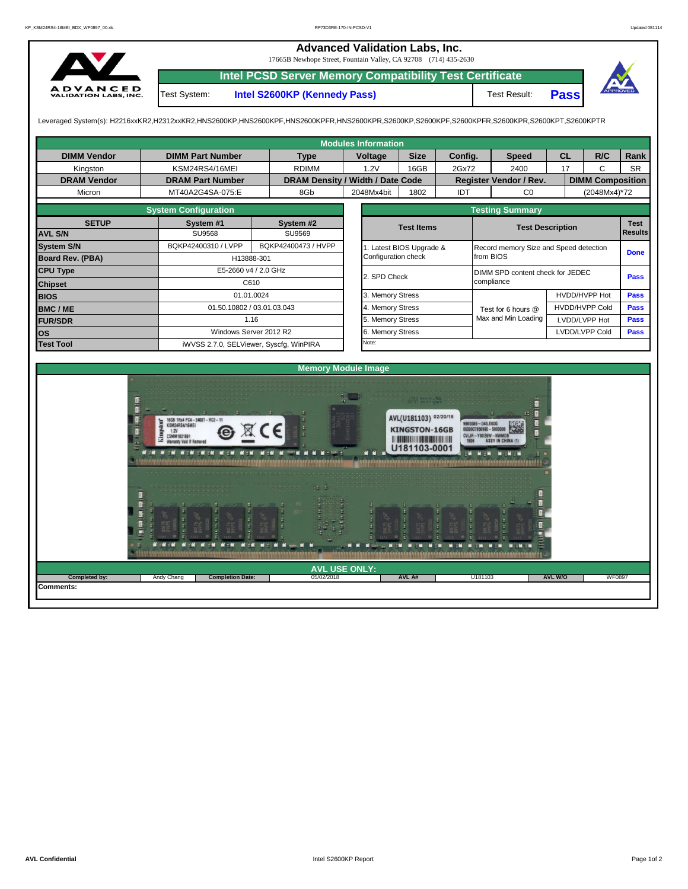## **Advanced Validation Labs, Inc.**  17665B Newhope Street, Fountain Valley, CA 92708 (714) 435-2630 **Intel PCSD Server Memory Compatibility Test Certificate** A D V A N C E D<br>VALIDATION LABS, INC. Test System: **Intel S2600KP (Kennedy Pass)** Test Result: **Pass**

Leveraged System(s): H2216xxKR2,H2312xxKR2,HNS2600KP,HNS2600KPF,HNS2600KPFR,HNS2600KPR,S2600KP,S2600KPF,S2600KPFR,S2600KPR,S2600KPT,S2600KPTR

| <b>Modules Information</b> |                                                      |            |                                  |                            |                                                                                                 |         |                                  |                                        |                         |              |             |             |  |  |  |
|----------------------------|------------------------------------------------------|------------|----------------------------------|----------------------------|-------------------------------------------------------------------------------------------------|---------|----------------------------------|----------------------------------------|-------------------------|--------------|-------------|-------------|--|--|--|
| <b>DIMM Vendor</b>         | <b>DIMM Part Number</b>                              |            | <b>Type</b>                      | Voltage                    | <b>Size</b>                                                                                     | Config. |                                  | <b>Speed</b>                           | <b>CL</b>               |              | R/C         | Rank        |  |  |  |
| Kingston                   | KSM24RS4/16MEI                                       |            | <b>RDIMM</b>                     | 1.2V                       | 16GB                                                                                            | 2Gx72   |                                  | 2400                                   |                         | 17           | C           | <b>SR</b>   |  |  |  |
| <b>DRAM Vendor</b>         | <b>DRAM Part Number</b>                              |            | DRAM Density / Width / Date Code |                            |                                                                                                 |         |                                  | Register Vendor / Rev.                 | <b>DIMM Composition</b> |              |             |             |  |  |  |
| Micron                     | MT40A2G4SA-075:E                                     |            | 8Gb                              | 2048Mx4bit                 | 1802                                                                                            | IDT     |                                  | CO                                     |                         | (2048Mx4)*72 |             |             |  |  |  |
|                            | <b>System Configuration</b>                          |            |                                  | <b>Testing Summary</b>     |                                                                                                 |         |                                  |                                        |                         |              |             |             |  |  |  |
| <b>SETUP</b>               | System #1                                            |            | System #2                        |                            | <b>Test Items</b>                                                                               |         |                                  | <b>Test Description</b>                |                         |              |             | Test        |  |  |  |
| <b>AVL S/N</b>             | <b>SU9568</b>                                        |            | SU9569                           |                            |                                                                                                 |         |                                  | <b>Results</b>                         |                         |              |             |             |  |  |  |
| <b>System S/N</b>          | BQKP42400310 / LVPP                                  |            | BQKP42400473 / HVPP              |                            | 1. Latest BIOS Upgrade &                                                                        |         |                                  | Record memory Size and Speed detection |                         |              |             | <b>Done</b> |  |  |  |
| Board Rev. (PBA)           |                                                      | H13888-301 |                                  | Configuration check        |                                                                                                 |         | from BIOS                        |                                        |                         |              |             |             |  |  |  |
| <b>CPU Type</b>            | E5-2660 v4 / 2.0 GHz                                 |            |                                  | 2. SPD Check               |                                                                                                 |         | DIMM SPD content check for JEDEC |                                        |                         |              |             |             |  |  |  |
| <b>Chipset</b>             |                                                      | C610       |                                  |                            |                                                                                                 |         | compliance                       |                                        | <b>Pass</b>             |              |             |             |  |  |  |
| <b>BIOS</b>                |                                                      | 01.01.0024 |                                  | 3. Memory Stress           |                                                                                                 |         |                                  |                                        | HVDD/HVPP Hot           |              |             | Pass        |  |  |  |
| <b>BMC/ME</b>              | 01.50.10802 / 03.01.03.043                           |            |                                  | 4. Memory Stress           |                                                                                                 |         | Test for 6 hours @               | <b>HVDD/HVPP Cold</b>                  |                         |              | Pass        |             |  |  |  |
| <b>FUR/SDR</b>             |                                                      | 1.16       |                                  | 5. Memory Stress           |                                                                                                 |         | Max and Min Loading              | LVDD/LVPP Hot                          |                         |              | Pass        |             |  |  |  |
| <b>OS</b>                  | Windows Server 2012 R2                               |            |                                  | 6. Memory Stress           |                                                                                                 |         |                                  | LVDD/LVPP Cold                         |                         |              | <b>Pass</b> |             |  |  |  |
| <b>Test Tool</b>           | iWVSS 2.7.0, SELViewer, Syscfq, WinPIRA              |            |                                  | Note:                      |                                                                                                 |         |                                  |                                        |                         |              |             |             |  |  |  |
|                            |                                                      |            |                                  |                            |                                                                                                 |         |                                  |                                        |                         |              |             |             |  |  |  |
|                            |                                                      |            |                                  | <b>Memory Module Image</b> |                                                                                                 |         |                                  |                                        |                         |              |             |             |  |  |  |
|                            | GB 1Rx4 PC4-2400T-RC2<br><b><i>ESM24RS4/16ME</i></b> |            |                                  |                            | AVL(U181103) 02/20/18<br><b>KINGSTON-16GB</b><br><b>HOURS AND REAL PROPERTY</b><br>U181103-0001 |         | <b>589 - 045 FOOD</b>            |                                        |                         |              |             |             |  |  |  |
|                            |                                                      |            |                                  |                            |                                                                                                 |         |                                  |                                        |                         |              |             |             |  |  |  |

**Completion Date: AVL A# AVL USE ONLY:** 05/02/2018

. . . .

 $-$ 

**Comments:**

**Completed by: Andy Chang** 

**N 2020** 

**MOR MOR MOR MOR MOR M.** 

**AVL W/O** WF0897

U181103

N EM MEM

M IN EM

NUMBER OF

**M** 10